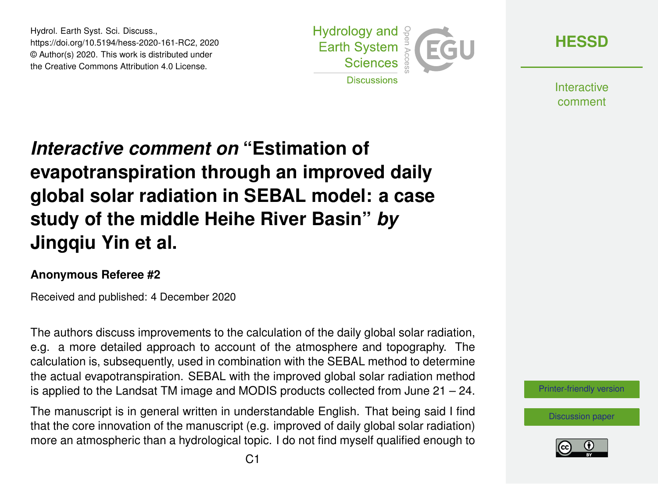Hydrol. Earth Syst. Sci. Discuss., https://doi.org/10.5194/hess-2020-161-RC2, 2020 © Author(s) 2020. This work is distributed under the Creative Commons Attribution 4.0 License.



**[HESSD](https://hess.copernicus.org/preprints/)**

**Interactive** comment

## *Interactive comment on* **"Estimation of evapotranspiration through an improved daily global solar radiation in SEBAL model: a case study of the middle Heihe River Basin"** *by* **Jingqiu Yin et al.**

## **Anonymous Referee #2**

Received and published: 4 December 2020

The authors discuss improvements to the calculation of the daily global solar radiation, e.g. a more detailed approach to account of the atmosphere and topography. The calculation is, subsequently, used in combination with the SEBAL method to determine the actual evapotranspiration. SEBAL with the improved global solar radiation method is applied to the Landsat TM image and MODIS products collected from June 21 – 24.

The manuscript is in general written in understandable English. That being said I find that the core innovation of the manuscript (e.g. improved of daily global solar radiation) more an atmospheric than a hydrological topic. I do not find myself qualified enough to

[Printer-friendly version](https://hess.copernicus.org/preprints/hess-2020-161/hess-2020-161-RC2-print.pdf)

[Discussion paper](https://hess.copernicus.org/preprints/hess-2020-161)